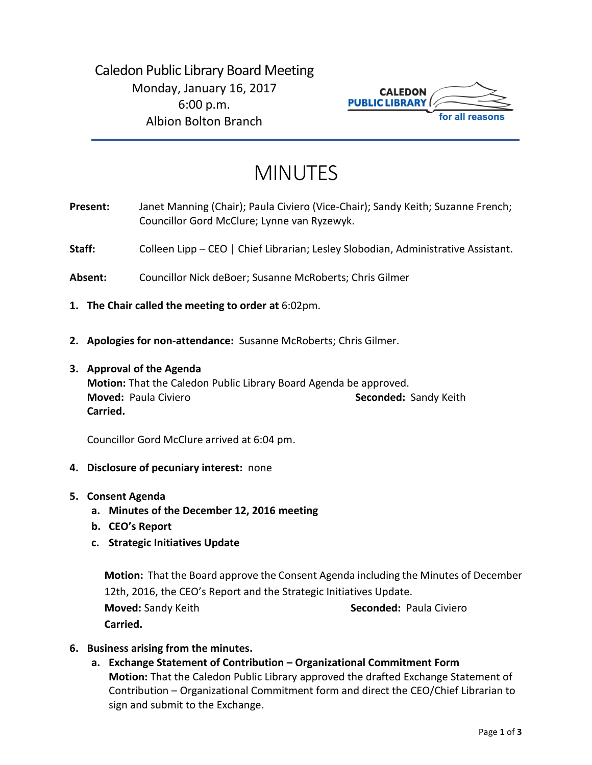

# MINUTES

- **Present:** Janet Manning (Chair); Paula Civiero (Vice-Chair); Sandy Keith; Suzanne French; Councillor Gord McClure; Lynne van Ryzewyk.
- Staff: Colleen Lipp CEO | Chief Librarian; Lesley Slobodian, Administrative Assistant.
- **Absent:** Councillor Nick deBoer; Susanne McRoberts; Chris Gilmer
- **1. The Chair called the meeting to order at** 6:02pm.
- **2. Apologies for non-attendance:** Susanne McRoberts; Chris Gilmer.
- **3. Approval of the Agenda Motion:** That the Caledon Public Library Board Agenda be approved. **Moved:** Paula Civiero **Seconded:** Sandy Keith **Carried.**

Councillor Gord McClure arrived at 6:04 pm.

- **4. Disclosure of pecuniary interest:** none
- **5. Consent Agenda**
	- **a. Minutes of the December 12, 2016 meeting**
	- **b. CEO's Report**
	- **c. Strategic Initiatives Update**

**Motion:** That the Board approve the Consent Agenda including the Minutes of December 12th, 2016, the CEO's Report and the Strategic Initiatives Update. **Moved:** Sandy Keith **Seconded:** Paula Civiero **Carried.**

- **6. Business arising from the minutes.**
	- **a. Exchange Statement of Contribution – Organizational Commitment Form Motion:** That the Caledon Public Library approved the drafted Exchange Statement of Contribution – Organizational Commitment form and direct the CEO/Chief Librarian to sign and submit to the Exchange.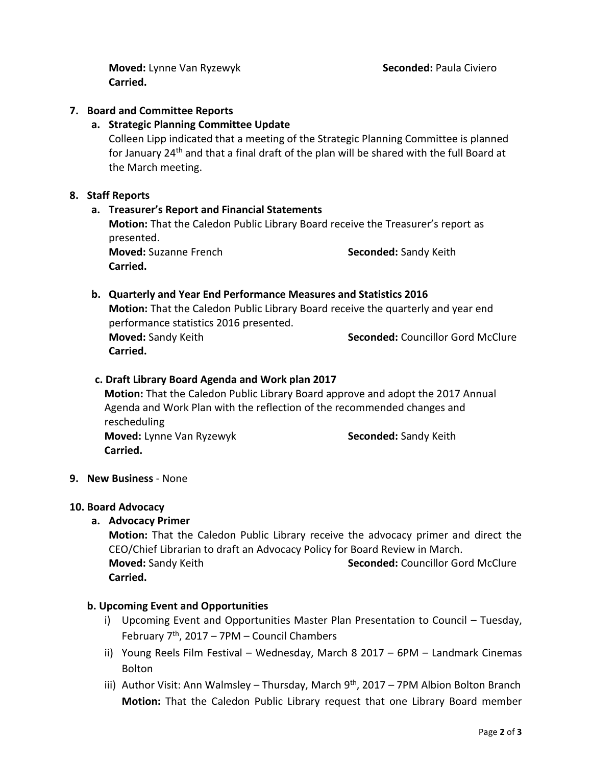**Moved:** Lynne Van Ryzewyk **Seconded:** Paula Civiero **Carried.**

# **7. Board and Committee Reports**

## **a. Strategic Planning Committee Update**

Colleen Lipp indicated that a meeting of the Strategic Planning Committee is planned for January 24<sup>th</sup> and that a final draft of the plan will be shared with the full Board at the March meeting.

## **8. Staff Reports**

## **a. Treasurer's Report and Financial Statements**

**Motion:** That the Caledon Public Library Board receive the Treasurer's report as presented.

**Carried.**

**Moved:** Suzanne French **Seconded:** Sandy Keith

## **b. Quarterly and Year End Performance Measures and Statistics 2016**

**Motion:** That the Caledon Public Library Board receive the quarterly and year end performance statistics 2016 presented.

**Carried.** 

**Moved:** Sandy Keith **Seconded:** Councillor Gord McClure

## **c. Draft Library Board Agenda and Work plan 2017**

**Motion:** That the Caledon Public Library Board approve and adopt the 2017 Annual Agenda and Work Plan with the reflection of the recommended changes and rescheduling **Moved:** Lynne Van Ryzewyk **Seconded:** Sandy Keith **Carried.**

## **9. New Business** - None

#### **10. Board Advocacy**

**a. Advocacy Primer** 

**Motion:** That the Caledon Public Library receive the advocacy primer and direct the CEO/Chief Librarian to draft an Advocacy Policy for Board Review in March. **Moved:** Sandy Keith **Seconded:** Councillor Gord McClure **Carried.**

## **b. Upcoming Event and Opportunities**

- i) Upcoming Event and Opportunities Master Plan Presentation to Council Tuesday, February  $7<sup>th</sup>$ , 2017 – 7PM – Council Chambers
- ii) Young Reels Film Festival Wednesday, March 8 2017 6PM Landmark Cinemas Bolton
- iii) Author Visit: Ann Walmsley Thursday, March  $9<sup>th</sup>$ , 2017 7PM Albion Bolton Branch **Motion:** That the Caledon Public Library request that one Library Board member